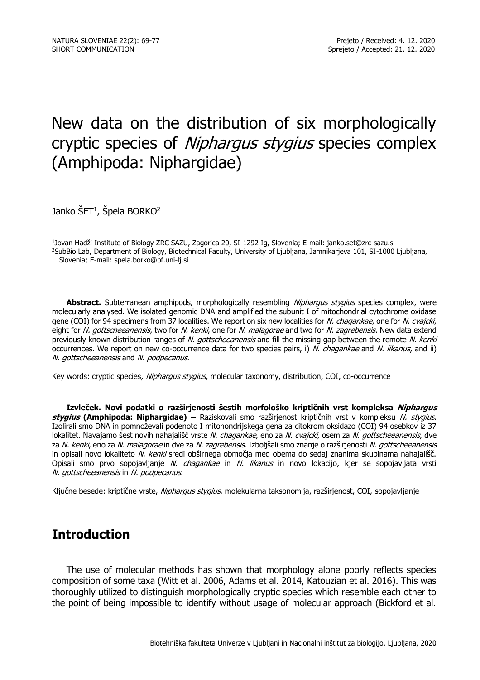# New data on the distribution of six morphologically cryptic species of *Niphargus stygius* species complex (Amphipoda: Niphargidae)

Janko ŠET<sup>1</sup>, Špela BORKO<sup>2</sup>

1 Jovan Hadži Institute of Biology ZRC SAZU, Zagorica 20, SI-1292 Ig, Slovenia; E-mail: janko.set@zrc-sazu.si <sup>2</sup>SubBio Lab, Department of Biology, Biotechnical Faculty, University of Liubliana, Jamnikarieva 101, SI-1000 Ljubljana, Slovenia; E-mail: spela.borko@bf.uni-lj.si

Abstract. Subterranean amphipods, morphologically resembling *Niphargus stygius* species complex, were molecularly analysed. We isolated genomic DNA and amplified the subunit I of mitochondrial cytochrome oxidase gene (COI) for 94 specimens from 37 localities. We report on six new localities for N. chagankae, one for N. cvajcki, eight for N. gottscheeanensis, two for N. kenki, one for N. malagorae and two for N. zagrebensis. New data extend previously known distribution ranges of N. gottscheeanensis and fill the missing gap between the remote N. kenki occurrences. We report on new co-occurrence data for two species pairs, i) N. chagankae and N. likanus, and ii) N. gottscheeanensis and N. podpecanus.

Key words: cryptic species, Nipharqus styqius, molecular taxonomy, distribution, COI, co-occurrence

**Izvleček. Novi podatki o razširjenosti šestih morfološko kriptičnih vrst kompleksa Niphargus stygius (Amphipoda: Niphargidae) –** Raziskovali smo razširjenost kriptičnih vrst v kompleksu N. stygius. Izolirali smo DNA in pomnoževali podenoto I mitohondrijskega gena za citokrom oksidazo (COI) 94 osebkov iz 37 lokalitet. Navajamo šest novih nahajališč vrste N. chagankae, eno za N. cvajcki, osem za N. gottscheeanensis, dve za N. kenki, eno za N. malagorae in dve za N. zagrebensis. Izboljšali smo znanje o razširjenosti N. gottscheeanensis in opisali novo lokaliteto N. kenki sredi obširnega območja med obema do sedaj znanima skupinama nahajališč. Opisali smo prvo sopojavljanje N. chagankae in N. likanus in novo lokacijo, kjer se sopojavljata vrsti N. gottscheeanensis in N. podpecanus.

Ključne besede: kriptične vrste, Niphargus stygius, molekularna taksonomija, razširjenost, COI, sopojavljanje

### **Introduction**

The use of molecular methods has shown that morphology alone poorly reflects species composition of some taxa (Witt et al. 2006, Adams et al. 2014, Katouzian et al. 2016). This was thoroughly utilized to distinguish morphologically cryptic species which resemble each other to the point of being impossible to identify without usage of molecular approach (Bickford et al.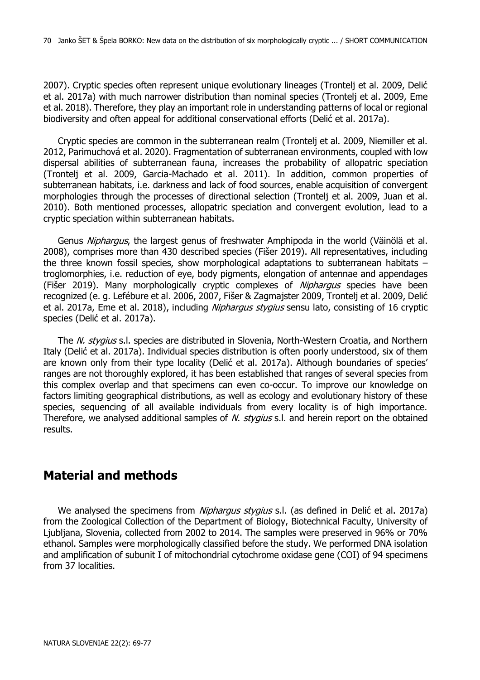2007). Cryptic species often represent unique evolutionary lineages (Trontelj et al. 2009, Delić et al. 2017a) with much narrower distribution than nominal species (Trontelj et al. 2009, Eme et al. 2018). Therefore, they play an important role in understanding patterns of local or regional biodiversity and often appeal for additional conservational efforts (Delić et al. 2017a).

Cryptic species are common in the subterranean realm (Trontelj et al. 2009, Niemiller et al. 2012, Parimuchová et al. 2020). Fragmentation of subterranean environments, coupled with low dispersal abilities of subterranean fauna, increases the probability of allopatric speciation (Trontelj et al. 2009, Garcia-Machado et al. 2011). In addition, common properties of subterranean habitats, i.e. darkness and lack of food sources, enable acquisition of convergent morphologies through the processes of directional selection (Trontelj et al. 2009, Juan et al. 2010). Both mentioned processes, allopatric speciation and convergent evolution, lead to a cryptic speciation within subterranean habitats.

Genus Nipharqus, the largest genus of freshwater Amphipoda in the world (Väinölä et al. 2008), comprises more than 430 described species (Fišer 2019). All representatives, including the three known fossil species, show morphological adaptations to subterranean habitats – troglomorphies, i.e. reduction of eye, body pigments, elongation of antennae and appendages (Fišer 2019). Many morphologically cryptic complexes of Niphargus species have been recognized (e. g. Lefébure et al. 2006, 2007, Fišer & Zagmajster 2009, Trontelj et al. 2009, Delić et al. 2017a, Eme et al. 2018), including Niphargus stygius sensu lato, consisting of 16 cryptic species (Delić et al. 2017a).

The N. stygius s.l. species are distributed in Slovenia, North-Western Croatia, and Northern Italy (Delić et al. 2017a). Individual species distribution is often poorly understood, six of them are known only from their type locality (Delić et al. 2017a). Although boundaries of species' ranges are not thoroughly explored, it has been established that ranges of several species from this complex overlap and that specimens can even co-occur. To improve our knowledge on factors limiting geographical distributions, as well as ecology and evolutionary history of these species, sequencing of all available individuals from every locality is of high importance. Therefore, we analysed additional samples of N. stygius s.l. and herein report on the obtained results.

### **Material and methods**

We analysed the specimens from *Niphargus stygius* s.l. (as defined in Delić et al. 2017a) from the Zoological Collection of the Department of Biology, Biotechnical Faculty, University of Ljubljana, Slovenia, collected from 2002 to 2014. The samples were preserved in 96% or 70% ethanol. Samples were morphologically classified before the study. We performed DNA isolation and amplification of subunit I of mitochondrial cytochrome oxidase gene (COI) of 94 specimens from 37 localities.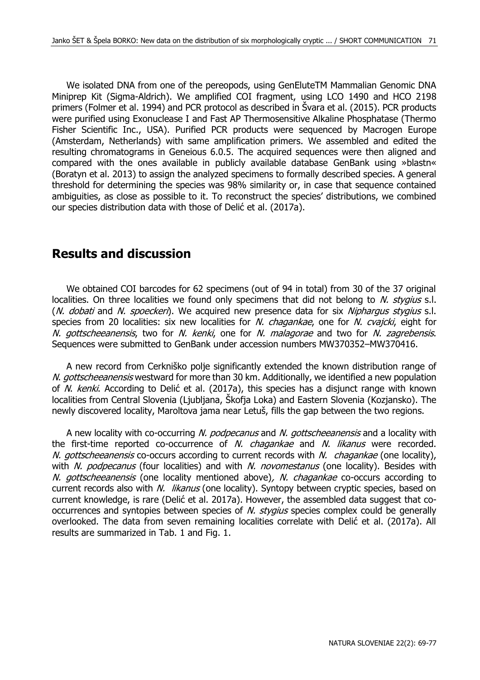We isolated DNA from one of the pereopods, using GenEluteTM Mammalian Genomic DNA Miniprep Kit (Sigma-Aldrich). We amplified COI fragment, using LCO 1490 and HCO 2198 primers (Folmer et al. 1994) and PCR protocol as described in Švara et al. (2015). PCR products were purified using Exonuclease I and Fast AP Thermosensitive Alkaline Phosphatase (Thermo Fisher Scientific Inc., USA). Purified PCR products were sequenced by Macrogen Europe (Amsterdam, Netherlands) with same amplification primers. We assembled and edited the resulting chromatograms in Geneious 6.0.5. The acquired sequences were then aligned and compared with the ones available in publicly available database GenBank using »blastn« (Boratyn et al. 2013) to assign the analyzed specimens to formally described species. A general threshold for determining the species was 98% similarity or, in case that sequence contained ambiguities, as close as possible to it. To reconstruct the species' distributions, we combined our species distribution data with those of Delić et al. (2017a).

## **Results and discussion**

We obtained COI barcodes for 62 specimens (out of 94 in total) from 30 of the 37 original localities. On three localities we found only specimens that did not belong to  $N$ . stygius s.l. (N. dobati and N. spoeckeri). We acquired new presence data for six Nipharqus stygius s.l. species from 20 localities: six new localities for N. *chagankae*, one for N. *cvajcki*, eight for N. gottscheeanensis, two for N. kenki, one for N. malagorae and two for N. zagrebensis. Sequences were submitted to GenBank under accession numbers MW370352–MW370416.

A new record from Cerkniško polje significantly extended the known distribution range of N. gottscheeanensis westward for more than 30 km. Additionally, we identified a new population of N. kenki. According to Delić et al. (2017a), this species has a disjunct range with known localities from Central Slovenia (Ljubljana, Škofja Loka) and Eastern Slovenia (Kozjansko). The newly discovered locality, Maroltova jama near Letuš, fills the gap between the two regions.

A new locality with co-occurring N. podpecanus and N. gottscheeanensis and a locality with the first-time reported co-occurrence of  $N$ . *chagankae* and  $N$ . *likanus* were recorded. N. gottscheeanensis co-occurs according to current records with N. chagankae (one locality), with N. podpecanus (four localities) and with N. novomestanus (one locality). Besides with N. gottscheeanensis (one locality mentioned above), N. chagankae co-occurs according to current records also with N. likanus (one locality). Syntopy between cryptic species, based on current knowledge, is rare (Delić et al. 2017a). However, the assembled data suggest that cooccurrences and syntopies between species of N. stygius species complex could be generally overlooked. The data from seven remaining localities correlate with Delić et al. (2017a). All results are summarized in Tab. 1 and Fig. 1.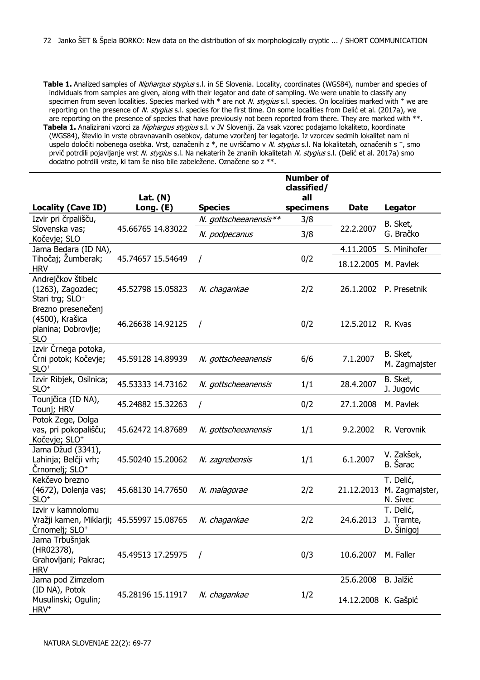- **Table 1.** Analized samples of *Niphargus stygius* s.l. in SE Slovenia. Locality, coordinates (WGS84), number and species of individuals from samples are given, along with their legator and date of sampling. We were unable to classify any specimen from seven localities. Species marked with  $*$  are not N. stygius s.l. species. On localities marked with  $*$  we are reporting on the presence of N. stygius s.l. species for the first time. On some localities from Delić et al. (2017a), we are reporting on the presence of species that have previously not been reported from there. They are marked with \*\*.
- **Tabela 1.** Analizirani vzorci za Niphargus stygius s.l. v JV Sloveniji. Za vsak vzorec podajamo lokaliteto, koordinate (WGS84), število in vrste obravnavanih osebkov, datume vzorčenj ter legatorje. Iz vzorcev sedmih lokalitet nam ni uspelo določiti nobenega osebka. Vrst, označenih z \*, ne uvrščamo v *N. stygius* s.l. Na lokalitetah, označenih s +, smo prvič potrdili pojavljanje vrst N. stygius s.l. Na nekaterih že znanih lokalitetah N. stygius s.l. (Delić et al. 2017a) smo dodatno potrdili vrste, ki tam še niso bile zabeležene. Označene so z \*\*.

|                                                                                              |                         |                       | <b>Number of</b><br>classified/ |                      |                                         |
|----------------------------------------------------------------------------------------------|-------------------------|-----------------------|---------------------------------|----------------------|-----------------------------------------|
| <b>Locality (Cave ID)</b>                                                                    | Lat. $(N)$<br>Long. (E) | <b>Species</b>        | all<br>specimens                | Date                 | Legator                                 |
| Izvir pri črpališču,                                                                         |                         | N. gottscheeanensis** | 3/8                             | 22.2.2007            | B. Sket,                                |
| Slovenska vas;<br>Kočevje; SLO                                                               | 45.66765 14.83022       | N. podpecanus         | 3/8                             |                      | G. Bračko                               |
| Jama Bedara (ID NA),                                                                         |                         |                       |                                 | 4.11.2005            | S. Minihofer                            |
| Tihočaj; Žumberak;<br><b>HRV</b>                                                             | 45.74657 15.54649       | I                     | 0/2                             | 18.12.2005 M. Pavlek |                                         |
| Andrejčkov štibelc<br>(1263), Zagozdec;<br>Stari trg; SLO <sup>+</sup>                       | 45.52798 15.05823       | N. chagankae          | 2/2                             |                      | 26.1.2002 P. Presetnik                  |
| Brezno presenečenj<br>(4500), Krašica<br>planina; Dobrovlje;<br><b>SLO</b>                   | 46.26638 14.92125       | $\prime$              | 0/2                             | 12.5.2012 R. Kvas    |                                         |
| Izvir Črnega potoka,<br>Črni potok; Kočevje;<br>$SLO+$                                       | 45.59128 14.89939       | N. gottscheeanensis   | 6/6                             | 7.1.2007             | B. Sket,<br>M. Zagmajster               |
| Izvir Ribjek, Osilnica;<br>$SLO+$                                                            | 45.53333 14.73162       | N. gottscheeanensis   | 1/1                             | 28.4.2007            | B. Sket,<br>J. Jugovic                  |
| Tounjčica (ID NA),<br>Tounj; HRV                                                             | 45.24882 15.32263       | $\prime$              | 0/2                             | 27.1.2008            | M. Pavlek                               |
| Potok Zege, Dolga<br>vas, pri pokopališču;<br>Kočevje; SLO <sup>+</sup>                      | 45.62472 14.87689       | N. gottscheeanensis   | 1/1                             | 9.2.2002             | R. Verovnik                             |
| Jama Džud (3341),<br>Lahinja; Belčji vrh;<br>Črnomelj; SLO <sup>+</sup>                      | 45.50240 15.20062       | N. zagrebensis        | 1/1                             | 6.1.2007             | V. Zakšek,<br>B. Sarac                  |
| Kekčevo brezno<br>(4672), Dolenja vas;<br>$SLO+$                                             | 45.68130 14.77650       | N. malagorae          | 2/2                             | 21.12.2013           | T. Delić,<br>M. Zagmajster,<br>N. Sivec |
| Izvir v kamnolomu<br>Vražji kamen, Miklarji; 45.55997 15.08765<br>Črnomelj; SLO <sup>+</sup> |                         | N. chagankae          | 2/2                             | 24.6.2013            | T. Delić,<br>J. Tramte,<br>D. Šinigoj   |
| Jama Trbušnjak<br>(HR02378),<br>Grahovljani; Pakrac;<br><b>HRV</b>                           | 45.49513 17.25975       | $\prime$              | 0/3                             | 10.6.2007            | M. Faller                               |
| Jama pod Zimzelom                                                                            |                         |                       |                                 | 25.6.2008            | <b>B.</b> Jalžić                        |
| (ID NA), Potok<br>Musulinski; Ogulin;<br>HRV <sup>+</sup>                                    | 45.28196 15.11917       | N. chagankae          | 1/2                             | 14.12.2008 K. Gašpić |                                         |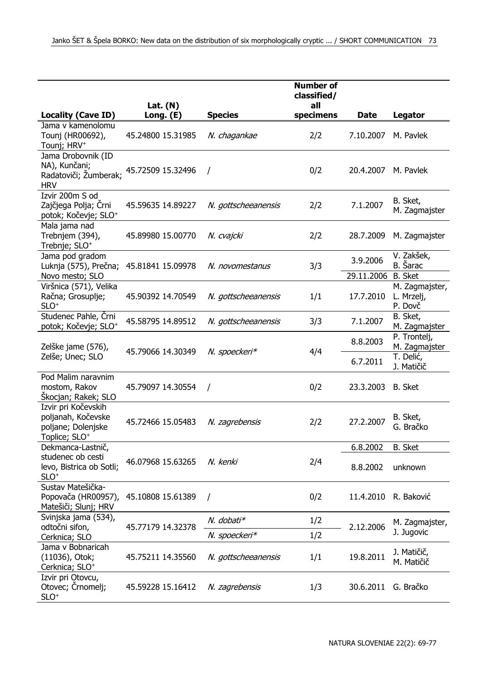|                                                                                              | Lat. $(N)$        |                     | <b>Number of</b><br>classified/<br>all |                        |                                            |
|----------------------------------------------------------------------------------------------|-------------------|---------------------|----------------------------------------|------------------------|--------------------------------------------|
| <b>Locality (Cave ID)</b>                                                                    | Long. (E)         | <b>Species</b>      | specimens                              | Date                   | Legator                                    |
| Jama v kamenolomu<br>Tounj (HR00692),<br>Tounj; HRV <sup>+</sup>                             | 45.24800 15.31985 | N. chagankae        | 2/2                                    | 7.10.2007              | M. Pavlek                                  |
| Jama Drobovnik (ID<br>NA), Kunčani;<br>Radatoviči; Žumberak;<br><b>HRV</b>                   | 45.72509 15.32496 | $\prime$            | 0/2                                    | 20.4.2007              | M. Pavlek                                  |
| Izvir 200m S od<br>Zajčjega Polja; Črni<br>potok; Kočevje; SLO+                              | 45.59635 14.89227 | N. gottscheeanensis | 2/2                                    | 7.1.2007               | B. Sket,<br>M. Zagmajster                  |
| Mala jama nad<br>Trebnjem (394),<br>Trebnje; SLO <sup>+</sup>                                | 45.89980 15.00770 | N. cvajcki          | 2/2                                    | 28.7.2009              | M. Zagmajster                              |
| Jama pod gradom<br>Luknja (575), Prečna;<br>Novo mesto; SLO                                  | 45.81841 15.09978 | N. novomestanus     | 3/3                                    | 3.9.2006<br>29.11.2006 | V. Zakšek,<br>B. Šarac<br><b>B.</b> Sket   |
| Viršnica (571), Velika<br>Račna; Grosuplje;<br>$SLO+$                                        | 45.90392 14.70549 | N. gottscheeanensis | 1/1                                    | 17.7.2010              | M. Zagmajster,<br>L. Mrzelj,<br>P. Dovč    |
| Studenec Pahle, Črni<br>potok; Kočevje; SLO <sup>+</sup>                                     | 45.58795 14.89512 | N. gottscheeanensis | 3/3                                    | 7.1.2007               | B. Sket,<br>M. Zagmajster                  |
| Zelške jame (576),<br>Zelše; Unec; SLO                                                       | 45.79066 14.30349 | N. spoeckeri*       | 4/4                                    | 8.8.2003<br>6.7.2011   | P. Tronteli,<br>M. Zagmajster<br>T. Delić, |
| Pod Malim naravnim<br>mostom, Rakov<br>Škocjan; Rakek; SLO                                   | 45.79097 14.30554 | $\prime$            | 0/2                                    | 23.3.2003              | J. Matičič<br><b>B.</b> Sket               |
| Izvir pri Kočevskih<br>poljanah, Kočevske<br>poljane; Dolenjske<br>Toplice; SLO <sup>+</sup> | 45.72466 15.05483 | N. zagrebensis      | 2/2                                    | 27.2.2007              | B. Sket,<br>G. Bračko                      |
| Dekmanca-Lastnič,                                                                            |                   |                     |                                        | 6.8.2002               | <b>B.</b> Sket                             |
| studenec ob cesti<br>levo, Bistrica ob Sotli;<br>$SLO+$                                      | 46.07968 15.63265 | N. kenki            | 2/4                                    | 8.8.2002               | unknown                                    |
| Sustav Matešička-<br>Popovača (HR00957),<br>Matešiči; Slunj; HRV                             | 45.10808 15.61389 | $\prime$            | 0/2                                    | 11.4.2010              | R. Baković                                 |
| Svinjska jama (534),<br>odtočni sifon,                                                       | 45.77179 14.32378 | N. dobati*          | 1/2                                    | 2.12.2006              | M. Zagmajster,<br>J. Jugovic               |
| Cerknica; SLO                                                                                |                   | N. spoeckeri*       | 1/2                                    |                        |                                            |
| Jama v Bobnaricah<br>(11036), Otok;<br>Cerknica; SLO <sup>+</sup>                            | 45.75211 14.35560 | N. gottscheeanensis | 1/1                                    | 19.8.2011              | J. Matičič,<br>M. Matičič                  |
| Izvir pri Otovcu,<br>Otovec; Crnomelj;<br>$SLO+$                                             | 45.59228 15.16412 | N. zagrebensis      | 1/3                                    | 30.6.2011              | G. Bračko                                  |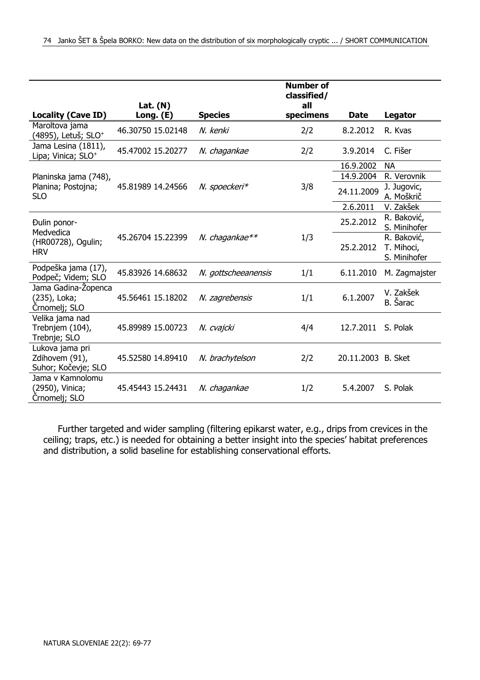|                                                          |                         |                     | <b>Number of</b><br>classified/ |                    |                                           |
|----------------------------------------------------------|-------------------------|---------------------|---------------------------------|--------------------|-------------------------------------------|
| <b>Locality (Cave ID)</b>                                | Lat. $(N)$<br>Long. (E) | <b>Species</b>      | all<br>specimens                | Date               | Legator                                   |
| Maroltova jama<br>(4895), Letuš; SLO <sup>+</sup>        | 46.30750 15.02148       | N. kenki            | 2/2                             | 8.2.2012           | R. Kvas                                   |
| Jama Lesina (1811),<br>Lipa; Vinica; SLO <sup>+</sup>    | 45.47002 15.20277       | N. chagankae        | 2/2                             | 3.9.2014           | C. Fišer                                  |
|                                                          |                         |                     |                                 | 16.9.2002          | <b>NA</b>                                 |
| Planinska jama (748),                                    |                         |                     |                                 | 14.9.2004          | R. Verovnik                               |
| Planina; Postojna;<br><b>SLO</b>                         | 45.81989 14.24566       | N. spoeckeri*       | 3/8                             | 24.11.2009         | J. Jugovic,<br>A. Moškrič                 |
|                                                          |                         |                     |                                 | 2.6.2011           | V. Zakšek                                 |
| Đulin ponor-<br>Medvedica                                |                         |                     |                                 | 25.2.2012          | R. Baković,<br>S. Minihofer               |
| (HR00728), Ogulin;<br><b>HRV</b>                         | 45.26704 15.22399       | N. chagankae**      | 1/3                             | 25.2.2012          | R. Baković,<br>T. Mihoci,<br>S. Minihofer |
| Podpeška jama (17),<br>Podpeč; Videm; SLO                | 45.83926 14.68632       | N. gottscheeanensis | 1/1                             | 6.11.2010          | M. Zagmajster                             |
| Jama Gadina-Zopenca<br>(235), Loka;<br>Crnomelj; SLO     | 45.56461 15.18202       | N. zagrebensis      | 1/1                             | 6.1.2007           | V. Zakšek<br>B. Šarac                     |
| Velika jama nad<br>Trebnjem (104),<br>Trebnje; SLO       | 45.89989 15.00723       | N. cvajcki          | 4/4                             | 12.7.2011          | S. Polak                                  |
| Lukova jama pri<br>Zdihovem (91),<br>Suhor; Kočevje; SLO | 45.52580 14.89410       | N. brachytelson     | 2/2                             | 20.11.2003 B. Sket |                                           |
| Jama v Kamnolomu<br>(2950), Vinica;<br>Crnomeli; SLO     | 45.45443 15.24431       | N. chagankae        | 1/2                             | 5.4.2007           | S. Polak                                  |

Further targeted and wider sampling (filtering epikarst water, e.g., drips from crevices in the ceiling; traps, etc.) is needed for obtaining a better insight into the species' habitat preferences and distribution, a solid baseline for establishing conservational efforts.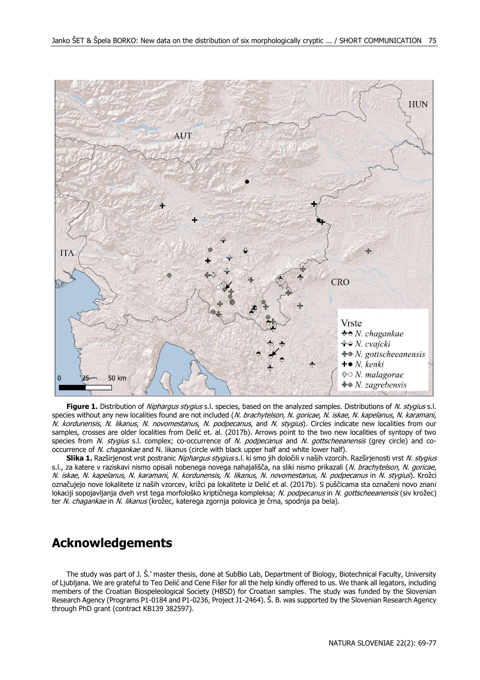

Figure 1. Distribution of Niphargus stygius s.l. species, based on the analyzed samples. Distributions of N. stygius s.l. species without any new localities found are not included (N. brachytelson, N. goricae, N. iskae, N. kapelanus, N. karamani, N. kordunensis, N. likanus, N. novomestanus, N. podpecanus, and N. stygius). Circles indicate new localities from our samples, crosses are older localities from Delić et. al. (2017b). Arrows point to the two new localities of syntopy of two species from N. stygius s.l. complex; co-occurrence of N. podpecanus and N. gottscheeanensis (grey circle) and cooccurrence of N. chagankae and N. likanus (circle with black upper half and white lower half).

**Slika 1.** Razširjenost vrst postranic Niphargus stygius s.l. ki smo jih določili v naših vzorcih. Razširjenosti vrst N. stygius s.l., za katere v raziskavi nismo opisali nobenega novega nahajališča, na sliki nismo prikazali (N. brachytelson, N. goricae, N. iskae, N. kapelanus, N. karamani, N. kordunensis, N. likanus, N. novomestanus, N. podpecanus in N. stygius). Krožci označujejo nove lokalitete iz naših vzorcev, križci pa lokalitete iz Delić et al. (2017b). S puščicama sta označeni novo znani lokaciji sopojavljanja dveh vrst tega morfološko kriptičnega kompleksa; N. podpecanus in N. gottscheeanensis (siv krožec) ter N. chagankae in N. likanus (krožec, katerega zgornja polovica je črna, spodnja pa bela).

#### **Acknowledgements**

The study was part of J. Š.' master thesis, done at SubBio Lab, Department of Biology, Biotechnical Faculty, University of Ljubljana. We are grateful to Teo Delić and Cene Fišer for all the help kindly offered to us. We thank all legators, including members of the Croatian Biospeleological Society (HBSD) for Croatian samples. The study was funded by the Slovenian Research Agency (Programs P1-0184 and P1-0236, Project J1-2464). Š. B. was supported by the Slovenian Research Agency through PhD grant (contract KB139 382597).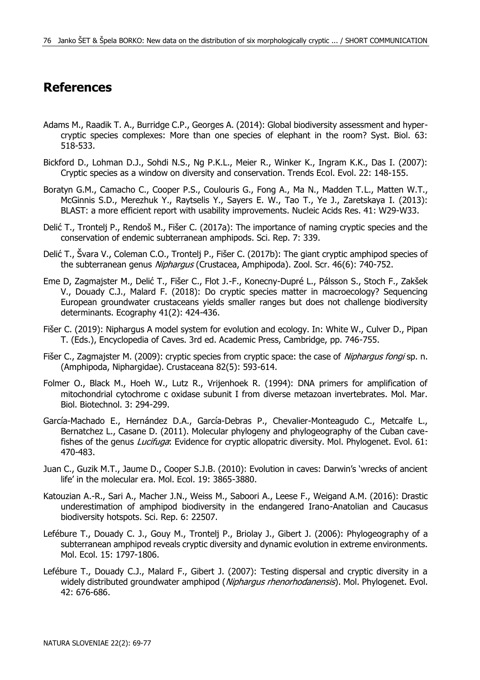## **References**

- Adams M., Raadik T. A., Burridge C.P., Georges A. (2014): Global biodiversity assessment and hypercryptic species complexes: More than one species of elephant in the room? Syst. Biol. 63: 518-533.
- Bickford D., Lohman D.J., Sohdi N.S., Ng P.K.L., Meier R., Winker K., Ingram K.K., Das I. (2007): Cryptic species as a window on diversity and conservation. Trends Ecol. Evol. 22: 148-155.
- Boratyn G.M., Camacho C., Cooper P.S., Coulouris G., Fong A., Ma N., Madden T.L., Matten W.T., McGinnis S.D., Merezhuk Y., Raytselis Y., Sayers E. W., Tao T., Ye J., Zaretskaya I. (2013): BLAST: a more efficient report with usability improvements. Nucleic Acids Res. 41: W29-W33.
- Delić T., Trontelj P., Rendoš M., Fišer C. (2017a): The importance of naming cryptic species and the conservation of endemic subterranean amphipods. Sci. Rep. 7: 339.
- Delić T., Švara V., Coleman C.O., Trontelj P., Fišer C. (2017b): The giant cryptic amphipod species of the subterranean genus Niphargus (Crustacea, Amphipoda). Zool. Scr. 46(6): 740-752.
- Eme D, Zagmajster M., Delić T., Fišer C., Flot J.-F., Konecny-Dupré L., Pálsson S., Stoch F., Zakšek V., Douady C.J., Malard F. (2018): Do cryptic species matter in macroecology? Sequencing European groundwater crustaceans yields smaller ranges but does not challenge biodiversity determinants. Ecography 41(2): 424-436.
- Fišer C. (2019): Niphargus A model system for evolution and ecology. In: White W., Culver D., Pipan T. (Eds.), Encyclopedia of Caves. 3rd ed. Academic Press, Cambridge, pp. 746-755.
- Fišer C., Zagmajster M. (2009): cryptic species from cryptic space: the case of *Niphargus fongi* sp. n. (Amphipoda, Niphargidae). Crustaceana 82(5): 593-614.
- Folmer O., Black M., Hoeh W., Lutz R., Vrijenhoek R. (1994): DNA primers for amplification of mitochondrial cytochrome c oxidase subunit I from diverse metazoan invertebrates. Mol. Mar. Biol. Biotechnol. 3: 294-299.
- García-Machado E., Hernández D.A., García-Debras P., Chevalier-Monteagudo C., Metcalfe L., Bernatchez L., Casane D. (2011). Molecular phylogeny and phylogeography of the Cuban cavefishes of the genus Lucifuga: Evidence for cryptic allopatric diversity. Mol. Phylogenet. Evol. 61: 470-483.
- Juan C., Guzik M.T., Jaume D., Cooper S.J.B. (2010): Evolution in caves: Darwin's 'wrecks of ancient life' in the molecular era. Mol. Ecol. 19: 3865-3880.
- Katouzian A.-R., Sari A., Macher J.N., Weiss M., Saboori A., Leese F., Weigand A.M. (2016): Drastic underestimation of amphipod biodiversity in the endangered Irano-Anatolian and Caucasus biodiversity hotspots. Sci. Rep. 6: 22507.
- Lefébure T., Douady C. J., Gouy M., Trontelj P., Briolay J., Gibert J. (2006): Phylogeography of a subterranean amphipod reveals cryptic diversity and dynamic evolution in extreme environments. Mol. Ecol. 15: 1797-1806.
- Lefébure T., Douady C.J., Malard F., Gibert J. (2007): Testing dispersal and cryptic diversity in a widely distributed groundwater amphipod (Niphargus rhenorhodanensis). Mol. Phylogenet. Evol. 42: 676-686.